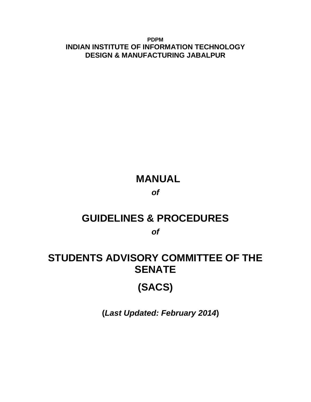**PDPM INDIAN INSTITUTE OF INFORMATION TECHNOLOGY DESIGN & MANUFACTURING JABALPUR**

# **MANUAL**

# *of*

# **GUIDELINES & PROCEDURES**

*of*

# **STUDENTS ADVISORY COMMITTEE OF THE SENATE**

# **(SACS)**

 **(***Last Updated: February 2014***)**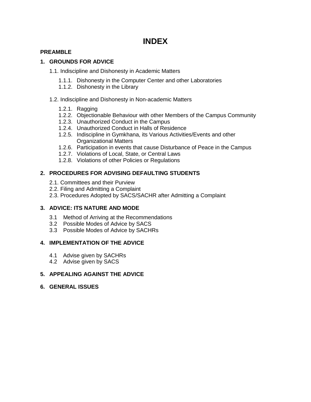# **INDEX**

# **PREAMBLE**

# **1. GROUNDS FOR ADVICE**

- 1.1. Indiscipline and Dishonesty in Academic Matters
	- 1.1.1. Dishonesty in the Computer Center and other Laboratories
	- 1.1.2. Dishonesty in the Library
- 1.2. Indiscipline and Dishonesty in Non-academic Matters
	- 1.2.1. Ragging
	- 1.2.2. Objectionable Behaviour with other Members of the Campus Community
	- 1.2.3. Unauthorized Conduct in the Campus
	- 1.2.4. Unauthorized Conduct in Halls of Residence
	- 1.2.5. Indiscipline in Gymkhana, its Various Activities/Events and other Organizational Matters
	- 1.2.6. Participation in events that cause Disturbance of Peace in the Campus
	- 1.2.7. Violations of Local, State, or Central Laws
	- 1.2.8. Violations of other Policies or Regulations

# **2. PROCEDURES FOR ADVISING DEFAULTING STUDENTS**

- 2.1. Committees and their Purview
- 2.2. Filing and Admitting a Complaint
- 2.3. Procedures Adopted by SACS/SACHR after Admitting a Complaint

# **3. ADVICE: ITS NATURE AND MODE**

- 3.1 Method of Arriving at the Recommendations
- 3.2 Possible Modes of Advice by SACS
- 3.3 Possible Modes of Advice by SACHRs

# **4. IMPLEMENTATION OF THE ADVICE**

- 4.1 Advise given by SACHRs
- 4.2 Advise given by SACS

# **5. APPEALING AGAINST THE ADVICE**

**6. GENERAL ISSUES**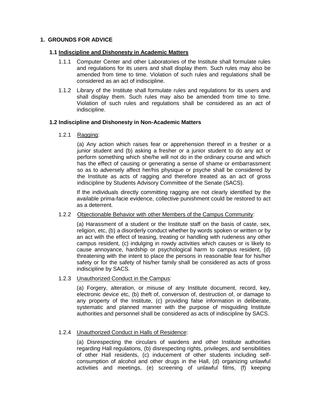#### **1. GROUNDS FOR ADVICE**

#### **1.1 Indiscipline and Dishonesty in Academic Matters**

- 1.1.1 Computer Center and other Laboratories of the Institute shall formulate rules and regulations for its users and shall display them. Such rules may also be amended from time to time. Violation of such rules and regulations shall be considered as an act of indiscipline.
- 1.1.2 Library of the Institute shall formulate rules and regulations for its users and shall display them. Such rules may also be amended from time to time. Violation of such rules and regulations shall be considered as an act of indiscipline.

#### **1.2 Indiscipline and Dishonesty in Non-Academic Matters**

#### 1.2.1 Ragging:

 (a) Any action which raises fear or apprehension thereof in a fresher or a junior student and (b) asking a fresher or a junior student to do any act or perform something which she/he will not do in the ordinary course and which has the effect of causing or generating a sense of shame or embarrassment so as to adversely affect her/his physique or psyche shall be considered by the Institute as acts of ragging and therefore treated as an act of gross indiscipline by Students Advisory Committee of the Senate (SACS).

If the individuals directly committing ragging are not clearly identified by the available prima-facie evidence, collective punishment could be restored to act as a deterrent.

#### 1.2.2 Objectionable Behavior with other Members of the Campus Community:

(a) Harassment of a student or the Institute staff on the basis of caste, sex, religion, etc, (b) a disorderly conduct whether by words spoken or written or by an act with the effect of teasing, treating or handling with rudeness any other campus resident, (c) indulging in rowdy activities which causes or is likely to cause annoyance, hardship or psychological harm to campus resident, (d) threatening with the intent to place the persons in reasonable fear for his/her safety or for the safety of his/her family shall be considered as acts of gross indiscipline by SACS.

# 1.2.3 Unauthorized Conduct in the Campus:

(a) Forgery, alteration, or misuse of any Institute document, record, key, electronic device etc, (b) theft of, conversion of, destruction of, or damage to any property of the Institute, (c) providing false information in deliberate, systematic and planned manner with the purpose of misguiding Institute authorities and personnel shall be considered as acts of indiscipline by SACS.

# 1.2.4 Unauthorized Conduct in Halls of Residence:

(a) Disrespecting the circulars of wardens and other Institute authorities regarding Hall regulations, (b) disrespecting rights, privileges, and sensibilities of other Hall residents, (c) inducement of other students including selfconsumption of alcohol and other drugs in the Hall, (d) organizing unlawful activities and meetings, (e) screening of unlawful films, (f) keeping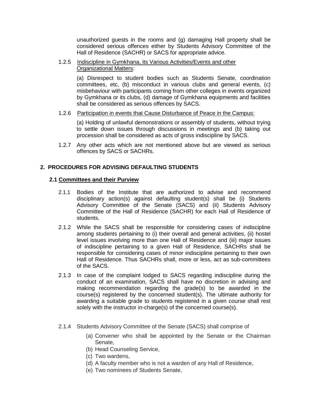unauthorized guests in the rooms and (g) damaging Hall property shall be considered serious offences either by Students Advisory Committee of the Hall of Residence (SACHR) or SACS for appropriate advice.

#### 1.2.5 Indiscipline in Gymkhana, its Various Activities/Events and other Organizational Matters:

(a) Disrespect to student bodies such as Students Senate, coordination committees, etc, (b) misconduct in various clubs and general events, (c) misbehaviour with participants coming from other colleges in events organized by Gymkhana or its clubs, (d) damage of Gymkhana equipments and facilities shall be considered as serious offences by SACS.

#### 1.2.6 Participation in events that Cause Disturbance of Peace in the Campus:

(a) Holding of unlawful demonstrations or assembly of students, without trying to settle down issues through discussions in meetings and (b) taking out procession shall be considered as acts of gross indiscipline by SACS.

1.2.7 Any other acts which are not mentioned above but are viewed as serious offences by SACS or SACHRs.

# **2. PROCEDURES FOR ADVISING DEFAULTING STUDENTS**

# **2.1 Committees and their Purview**

- 2.1.1 Bodies of the Institute that are authorized to advise and recommend disciplinary action(s) against defaulting student(s) shall be (i) Students Advisory Committee of the Senate (SACS) and (ii) Students Advisory Committee of the Hall of Residence (SACHR) for each Hall of Residence of students.
- 2.1.2 While the SACS shall be responsible for considering cases of indiscipline among students pertaining to (i) their overall and general activities, (ii) hostel level issues involving more than one Hall of Residence and (iii) major issues of indiscipline pertaining to a given Hall of Residence, SACHRs shall be responsible for considering cases of minor indiscipline pertaining to their own Hall of Residence. Thus SACHRs shall, more or less, act as sub-committees of the SACS.
- 2.1.3 In case of the complaint lodged to SACS regarding indiscipline during the conduct of an examination, SACS shall have no discretion in advising and making recommendation regarding the grade(s) to be awarded in the course(s) registered by the concerned student(s). The ultimate authority for awarding a suitable grade to students registered in a given course shall rest solely with the instructor in-charge(s) of the concerned course(s).
- 2.1.4 Students Advisory Committee of the Senate (SACS) shall comprise of
	- (a) Convener who shall be appointed by the Senate or the Chairman Senate,
	- (b) Head Counseling Service,
	- (c) Two wardens,
	- (d) A faculty member who is not a warden of any Hall of Residence,
	- (e) Two nominees of Students Senate,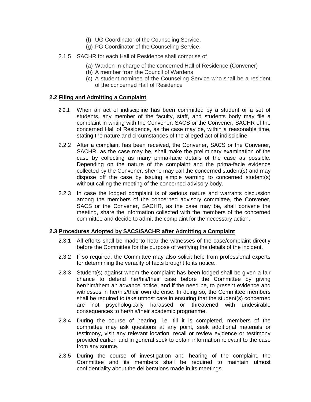- (f) UG Coordinator of the Counseling Service,
- (g) PG Coordinator of the Counseling Service.
- 2.1.5 SACHR for each Hall of Residence shall comprise of
	- (a) Warden In-charge of the concerned Hall of Residence (Convener)
	- (b) A member from the Council of Wardens
	- (c) A student nominee of the Counseling Service who shall be a resident of the concerned Hall of Residence

#### **2.2 Filing and Admitting a Complaint**

- 2.2.1 When an act of indiscipline has been committed by a student or a set of students, any member of the faculty, staff, and students body may file a complaint in writing with the Convener, SACS or the Convener, SACHR of the concerned Hall of Residence, as the case may be, within a reasonable time, stating the nature and circumstances of the alleged act of indiscipline.
- 2.2.2 After a complaint has been received, the Convener, SACS or the Convener, SACHR, as the case may be, shall make the preliminary examination of the case by collecting as many prima-facie details of the case as possible. Depending on the nature of the complaint and the prima-facie evidence collected by the Convener, she/he may call the concerned student(s) and may dispose off the case by issuing simple warning to concerned student(s) without calling the meeting of the concerned advisory body.
- 2.2.3 In case the lodged complaint is of serious nature and warrants discussion among the members of the concerned advisory committee, the Convener, SACS or the Convener, SACHR, as the case may be, shall convene the meeting, share the information collected with the members of the concerned committee and decide to admit the complaint for the necessary action.

# **2.3 Procedures Adopted by SACS/SACHR after Admitting a Complaint**

- 2.3.1 All efforts shall be made to hear the witnesses of the case/complaint directly before the Committee for the purpose of verifying the details of the incident.
- 2.3.2 If so required, the Committee may also solicit help from professional experts for determining the veracity of facts brought to its notice.
- 2.3.3 Student(s) against whom the complaint has been lodged shall be given a fair chance to defend her/his/their case before the Committee by giving her/him/them an advance notice, and if the need be, to present evidence and witnesses in her/his/their own defense. In doing so, the Committee members shall be required to take utmost care in ensuring that the student(s) concerned are not psychologically harassed or threatened with undesirable consequences to her/his/their academic programme.
- 2.3.4 During the course of hearing, i.e. till it is completed, members of the committee may ask questions at any point, seek additional materials or testimony, visit any relevant location, recall or review evidence or testimony provided earlier, and in general seek to obtain information relevant to the case from any source.
- 2.3.5 During the course of investigation and hearing of the complaint, the Committee and its members shall be required to maintain utmost confidentiality about the deliberations made in its meetings.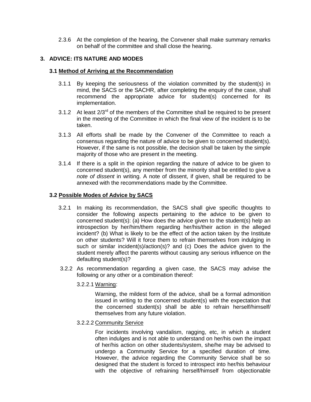2.3.6 At the completion of the hearing, the Convener shall make summary remarks on behalf of the committee and shall close the hearing.

# **3. ADVICE: ITS NATURE AND MODES**

#### **3.1 Method of Arriving at the Recommendation**

- 3.1.1 By keeping the seriousness of the violation committed by the student(s) in mind, the SACS or the SACHR, after completing the enquiry of the case, shall recommend the appropriate advice for student(s) concerned for its implementation.
- 3.1.2 At least  $2/3^{rd}$  of the members of the Committee shall be required to be present in the meeting of the Committee in which the final view of the incident is to be taken.
- 3.1.3 All efforts shall be made by the Convener of the Committee to reach a consensus regarding the nature of advice to be given to concerned student(s). However, if the same is not possible, the decision shall be taken by the simple majority of those who are present in the meeting.
- 3.1.4 If there is a split in the opinion regarding the nature of advice to be given to concerned student(s), any member from the minority shall be entitled to give a *note of dissent* in writing. A note of dissent, if given, shall be required to be annexed with the recommendations made by the Committee.

# **3.2 Possible Modes of Advice by SACS**

- 3.2.1 In making its recommendation, the SACS shall give specific thoughts to consider the following aspects pertaining to the advice to be given to concerned student(s): (a) How does the advice given to the student(s) help an introspection by her/him/them regarding her/his/their action in the alleged incident? (b) What is likely to be the effect of the action taken by the Institute on other students? Will it force them to refrain themselves from indulging in such or similar incident(s)/action(s)? and (c) Does the advice given to the student merely affect the parents without causing any serious influence on the defaulting student(s)?
- 3.2.2 As recommendation regarding a given case, the SACS may advise the following or any other or a combination thereof:
	- 3.2.2.1 Warning:

Warning, the mildest form of the advice, shall be a formal admonition issued in writing to the concerned student(s) with the expectation that the concerned student(s) shall be able to refrain herself/himself/ themselves from any future violation.

3.2.2.2 Community Service

For incidents involving vandalism, ragging, etc, in which a student often indulges and is not able to understand on her/his own the impact of her/his action on other students/system, she/he may be advised to undergo a Community Service for a specified duration of time. However, the advice regarding the Community Service shall be so designed that the student is forced to introspect into her/his behaviour with the objective of refraining herself/himself from objectionable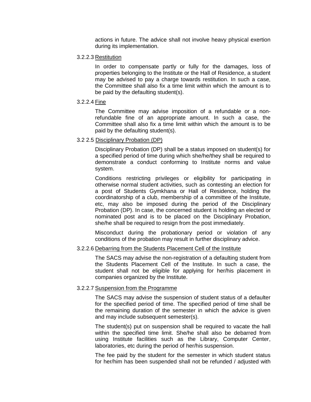actions in future. The advice shall not involve heavy physical exertion during its implementation.

3.2.2.3 Restitution

In order to compensate partly or fully for the damages, loss of properties belonging to the Institute or the Hall of Residence, a student may be advised to pay a charge towards restitution. In such a case, the Committee shall also fix a time limit within which the amount is to be paid by the defaulting student(s).

3.2.2.4 Fine

The Committee may advise imposition of a refundable or a nonrefundable fine of an appropriate amount. In such a case, the Committee shall also fix a time limit within which the amount is to be paid by the defaulting student(s).

#### 3.2 2.5 Disciplinary Probation (DP)

Disciplinary Probation (DP) shall be a status imposed on student(s) for a specified period of time during which she/he/they shall be required to demonstrate a conduct conforming to Institute norms and value system.

Conditions restricting privileges or eligibility for participating in otherwise normal student activities, such as contesting an election for a post of Students Gymkhana or Hall of Residence, holding the coordinatorship of a club, membership of a committee of the Institute, etc, may also be imposed during the period of the Disciplinary Probation (DP). In case, the concerned student is holding an elected or nominated post and is to be placed on the Disciplinary Probation, she/he shall be required to resign from the post immediately.

Misconduct during the probationary period or violation of any conditions of the probation may result in further disciplinary advice.

#### 3.2.2.6 Debarring from the Students Placement Cell of the Institute

The SACS may advise the non-registration of a defaulting student from the Students Placement Cell of the Institute. In such a case, the student shall not be eligible for applying for her/his placement in companies organized by the Institute.

#### 3.2.2.7 Suspension from the Programme

The SACS may advise the suspension of student status of a defaulter for the specified period of time. The specified period of time shall be the remaining duration of the semester in which the advice is given and may include subsequent semester(s).

The student(s) put on suspension shall be required to vacate the hall within the specified time limit. She/he shall also be debarred from using Institute facilities such as the Library, Computer Center, laboratories, etc during the period of her/his suspension.

The fee paid by the student for the semester in which student status for her/him has been suspended shall not be refunded / adjusted with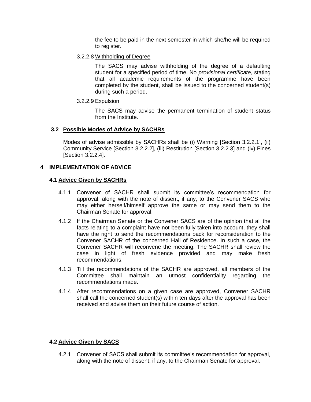the fee to be paid in the next semester in which she/he will be required to register.

3.2.2.8 Withholding of Degree

The SACS may advise withholding of the degree of a defaulting student for a specified period of time. No *provisional certificate*, stating that all academic requirements of the programme have been completed by the student, shall be issued to the concerned student(s) during such a period.

3.2.2.9 Expulsion

The SACS may advise the permanent termination of student status from the Institute.

#### **3.2 Possible Modes of Advice by SACHRs**

Modes of advise admissible by SACHRs shall be (i) Warning [Section 3.2.2.1], (ii) Community Service [Section 3.2.2.2], (iii) Restitution [Section 3.2.2.3] and (iv) Fines [Section 3.2.2.4].

# **4 IMPLEMENTATION OF ADVICE**

# **4.1 Advice Given by SACHRs**

- 4.1.1 Convener of SACHR shall submit its committee's recommendation for approval, along with the note of dissent, if any, to the Convener SACS who may either herself/himself approve the same or may send them to the Chairman Senate for approval.
- 4.1.2 If the Chairman Senate or the Convener SACS are of the opinion that all the facts relating to a complaint have not been fully taken into account, they shall have the right to send the recommendations back for reconsideration to the Convener SACHR of the concerned Hall of Residence. In such a case, the Convener SACHR will reconvene the meeting. The SACHR shall review the case in light of fresh evidence provided and may make fresh recommendations.
- 4.1.3 Till the recommendations of the SACHR are approved, all members of the Committee shall maintain an utmost confidentiality regarding the recommendations made.
- 4.1.4 After recommendations on a given case are approved, Convener SACHR shall call the concerned student(s) within ten days after the approval has been received and advise them on their future course of action.

# **4.2 Advice Given by SACS**

4.2.1 Convener of SACS shall submit its committee's recommendation for approval, along with the note of dissent, if any, to the Chairman Senate for approval.